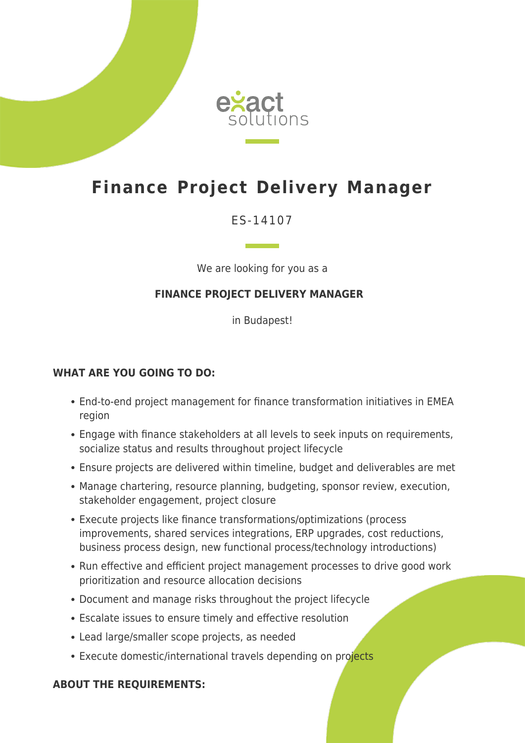

# **Finance Project Delivery Manager**

# ES-14107

We are looking for you as a

## **FINANCE PROJECT DELIVERY MANAGER**

in Budapest!

#### **WHAT ARE YOU GOING TO DO:**

- End-to-end project management for finance transformation initiatives in EMEA region
- Engage with finance stakeholders at all levels to seek inputs on requirements, socialize status and results throughout project lifecycle
- Ensure projects are delivered within timeline, budget and deliverables are met
- Manage chartering, resource planning, budgeting, sponsor review, execution, stakeholder engagement, project closure
- Execute projects like finance transformations/optimizations (process improvements, shared services integrations, ERP upgrades, cost reductions, business process design, new functional process/technology introductions)
- Run effective and efficient project management processes to drive good work prioritization and resource allocation decisions
- Document and manage risks throughout the project lifecycle
- Escalate issues to ensure timely and effective resolution
- Lead large/smaller scope projects, as needed
- Execute domestic/international travels depending on projects

### **ABOUT THE REQUIREMENTS:**